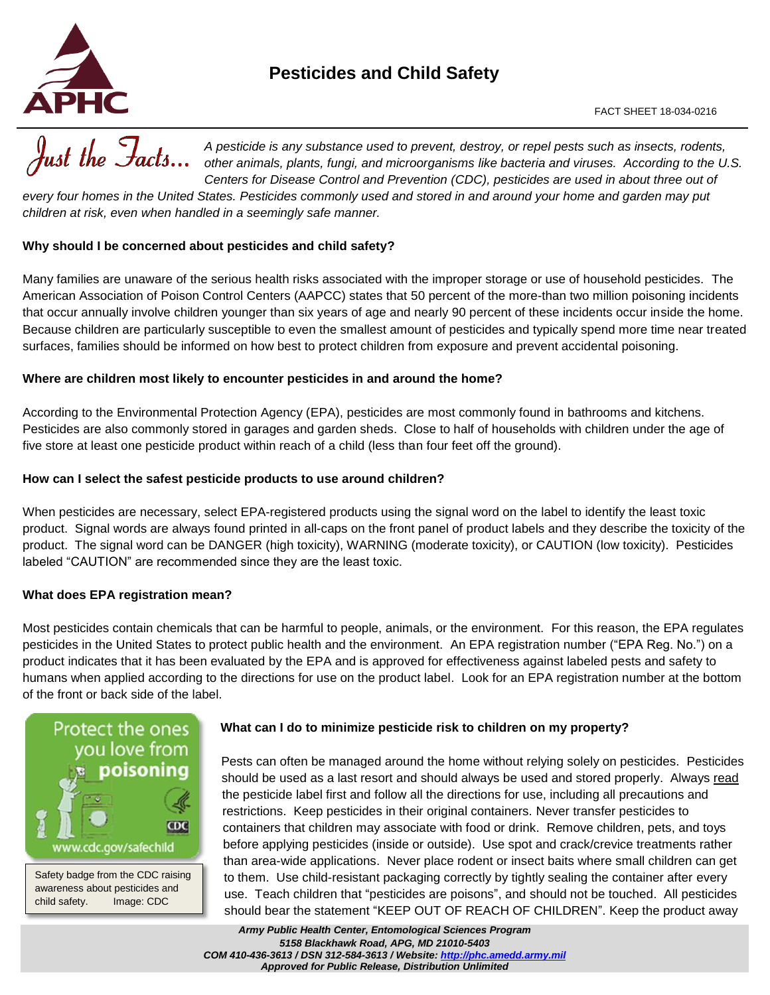

# **Pesticides and Child Safety**



*every four homes in the United States. Pesticides commonly used and stored in and around your home and garden may put children at risk, even when handled in a seemingly safe manner.* 

## **Why should I be concerned about pesticides and child safety?**

Many families are unaware of the serious health risks associated with the improper storage or use of household pesticides. The American Association of Poison Control Centers (AAPCC) states that 50 percent of the more-than two million poisoning incidents that occur annually involve children younger than six years of age and nearly 90 percent of these incidents occur inside the home. Because children are particularly susceptible to even the smallest amount of pesticides and typically spend more time near treated surfaces, families should be informed on how best to protect children from exposure and prevent accidental poisoning.

#### **Where are children most likely to encounter pesticides in and around the home?**

According to the Environmental Protection Agency (EPA), pesticides are most commonly found in bathrooms and kitchens. Pesticides are also commonly stored in garages and garden sheds. Close to half of households with children under the age of five store at least one pesticide product within reach of a child (less than four feet off the ground).

## **How can I select the safest pesticide products to use around children?**

When pesticides are necessary, select EPA-registered products using the signal word on the label to identify the least toxic product. Signal words are always found printed in all-caps on the front panel of product labels and they describe the toxicity of the product. The signal word can be DANGER (high toxicity), WARNING (moderate toxicity), or CAUTION (low toxicity). Pesticides labeled "CAUTION" are recommended since they are the least toxic.

## **What does EPA registration mean?**

Most pesticides contain chemicals that can be harmful to people, animals, or the environment. For this reason, the EPA regulates pesticides in the United States to protect public health and the environment. An EPA registration number ("EPA Reg. No.") on a product indicates that it has been evaluated by the EPA and is approved for effectiveness against labeled pests and safety to humans when applied according to the directions for use on the product label. Look for an EPA registration number at the bottom of the front or back side of the label.



Safety badge from the CDC raising awareness about pesticides and child safety. Image: CDC

#### **What can I do to minimize pesticide risk to children on my property?**

Pests can often be managed around the home without relying solely on pesticides. Pesticides should be used as a last resort and should always be used and stored properly. Always read the pesticide label first and follow all the directions for use, including all precautions and restrictions. Keep pesticides in their original containers. Never transfer pesticides to containers that children may associate with food or drink. Remove children, pets, and toys before applying pesticides (inside or outside). Use spot and crack/crevice treatments rather than area-wide applications. Never place rodent or insect baits where small children can get to them. Use child-resistant packaging correctly by tightly sealing the container after every use. Teach children that "pesticides are poisons", and should not be touched. All pesticides should bear the statement "KEEP OUT OF REACH OF CHILDREN". Keep the product away